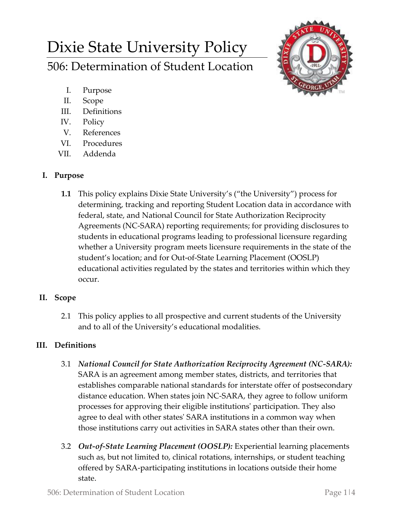# Dixie State University Policy 506: Determination of Student Location



- I. Purpose
- II. Scope
- III. Definitions
- IV. Policy
- V. References
- VI. Procedures
- VII. Addenda

## **I. Purpose**

**1.1** This policy explains Dixie State University's ("the University") process for determining, tracking and reporting Student Location data in accordance with federal, state, and National Council for State Authorization Reciprocity Agreements (NC-SARA) reporting requirements; for providing disclosures to students in educational programs leading to professional licensure regarding whether a University program meets licensure requirements in the state of the student's location; and for Out-of-State Learning Placement (OOSLP) educational activities regulated by the states and territories within which they occur.

# **II. Scope**

2.1 This policy applies to all prospective and current students of the University and to all of the University's educational modalities.

# **III. Definitions**

- 3.1 *National Council for State Authorization Reciprocity Agreement (NC-SARA):* SARA is an agreement among member states, districts, and territories that establishes comparable national standards for interstate offer of postsecondary distance education. When states join NC-SARA, they agree to follow uniform processes for approving their eligible institutions' participation. They also agree to deal with other states' SARA institutions in a common way when those institutions carry out activities in SARA states other than their own.
- 3.2 *Out-of-State Learning Placement (OOSLP):* Experiential learning placements such as, but not limited to, clinical rotations, internships, or student teaching offered by SARA-participating institutions in locations outside their home state.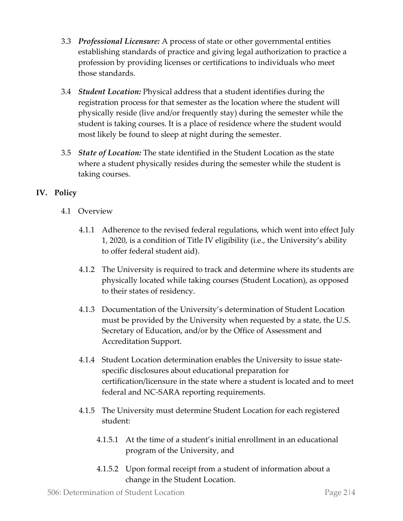- 3.3 *Professional Licensure:* A process of state or other governmental entities establishing standards of practice and giving legal authorization to practice a profession by providing licenses or certifications to individuals who meet those standards.
- 3.4 *Student Location:* Physical address that a student identifies during the registration process for that semester as the location where the student will physically reside (live and/or frequently stay) during the semester while the student is taking courses. It is a place of residence where the student would most likely be found to sleep at night during the semester.
- 3.5 *State of Location:* The state identified in the Student Location as the state where a student physically resides during the semester while the student is taking courses.

## **IV. Policy**

- 4.1 Overview
	- 4.1.1 Adherence to the revised federal regulations, which went into effect July 1, 2020, is a condition of Title IV eligibility (i.e., the University's ability to offer federal student aid).
	- 4.1.2 The University is required to track and determine where its students are physically located while taking courses (Student Location), as opposed to their states of residency.
	- 4.1.3 Documentation of the University's determination of Student Location must be provided by the University when requested by a state, the U.S. Secretary of Education, and/or by the Office of Assessment and Accreditation Support.
	- 4.1.4 Student Location determination enables the University to issue statespecific disclosures about educational preparation for certification/licensure in the state where a student is located and to meet federal and NC-SARA reporting requirements.
	- 4.1.5 The University must determine Student Location for each registered student:
		- 4.1.5.1 At the time of a student's initial enrollment in an educational program of the University, and
		- 4.1.5.2 Upon formal receipt from a student of information about a change in the Student Location.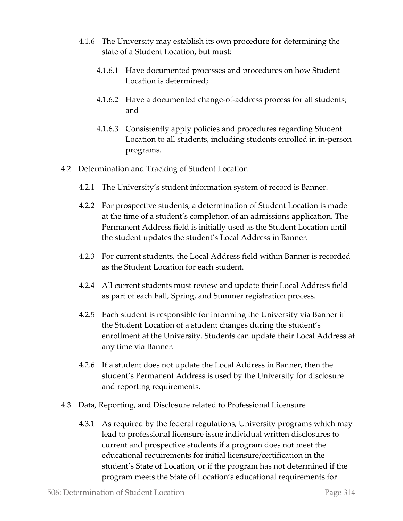- 4.1.6 The University may establish its own procedure for determining the state of a Student Location, but must:
	- 4.1.6.1 Have documented processes and procedures on how Student Location is determined;
	- 4.1.6.2 Have a documented change-of-address process for all students; and
	- 4.1.6.3 Consistently apply policies and procedures regarding Student Location to all students, including students enrolled in in-person programs.
- 4.2 Determination and Tracking of Student Location
	- 4.2.1 The University's student information system of record is Banner.
	- 4.2.2 For prospective students, a determination of Student Location is made at the time of a student's completion of an admissions application. The Permanent Address field is initially used as the Student Location until the student updates the student's Local Address in Banner.
	- 4.2.3 For current students, the Local Address field within Banner is recorded as the Student Location for each student.
	- 4.2.4 All current students must review and update their Local Address field as part of each Fall, Spring, and Summer registration process.
	- 4.2.5 Each student is responsible for informing the University via Banner if the Student Location of a student changes during the student's enrollment at the University. Students can update their Local Address at any time via Banner.
	- 4.2.6 If a student does not update the Local Address in Banner, then the student's Permanent Address is used by the University for disclosure and reporting requirements.
- 4.3 Data, Reporting, and Disclosure related to Professional Licensure
	- 4.3.1 As required by the federal regulations, University programs which may lead to professional licensure issue individual written disclosures to current and prospective students if a program does not meet the educational requirements for initial licensure/certification in the student's State of Location, or if the program has not determined if the program meets the State of Location's educational requirements for